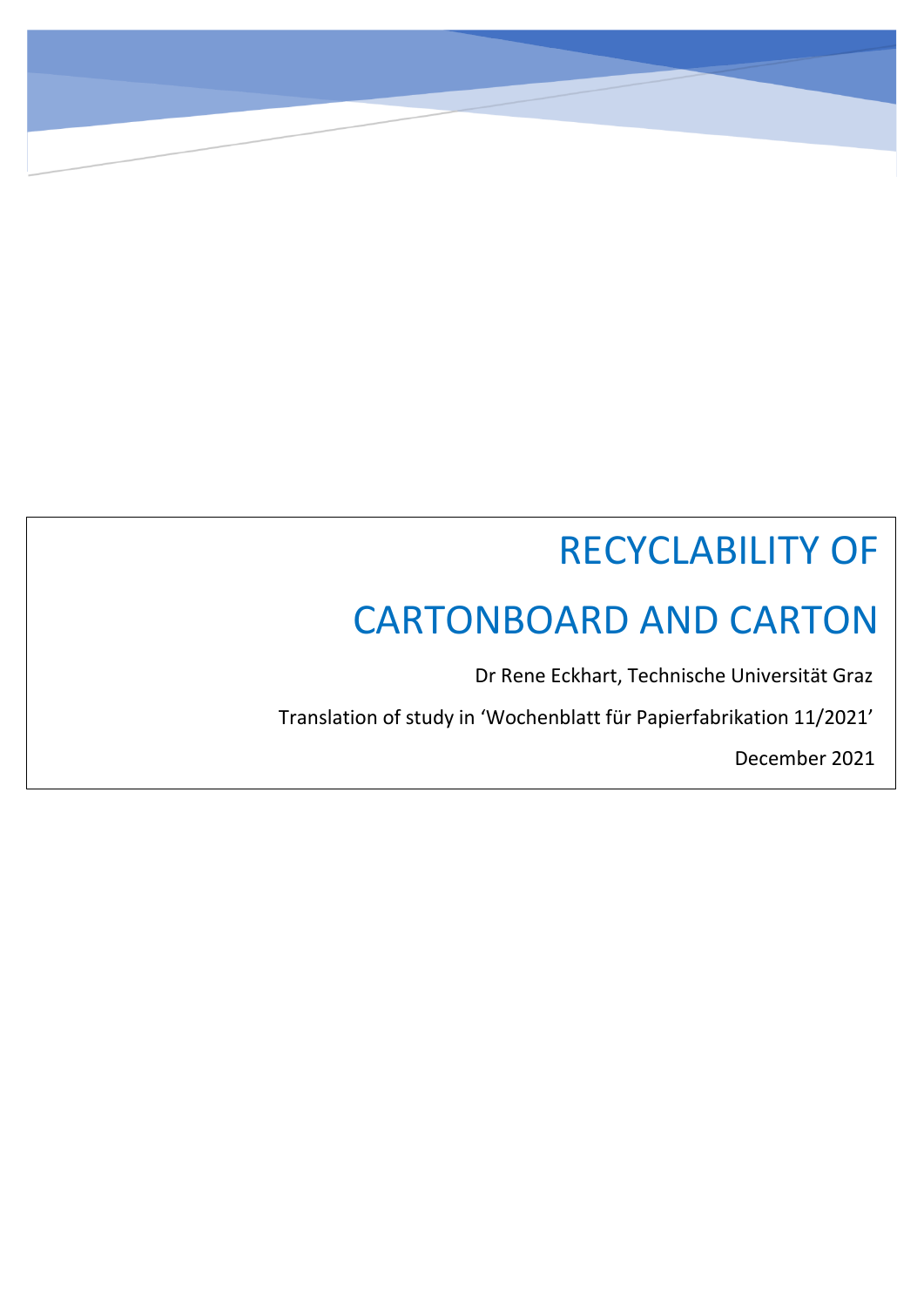# RECYCLABILITY OF

## CARTONBOARD AND CARTON

Dr Rene Eckhart, Technische Universität Graz

Translation of study in 'Wochenblatt für Papierfabrikation 11/2021'

December 2021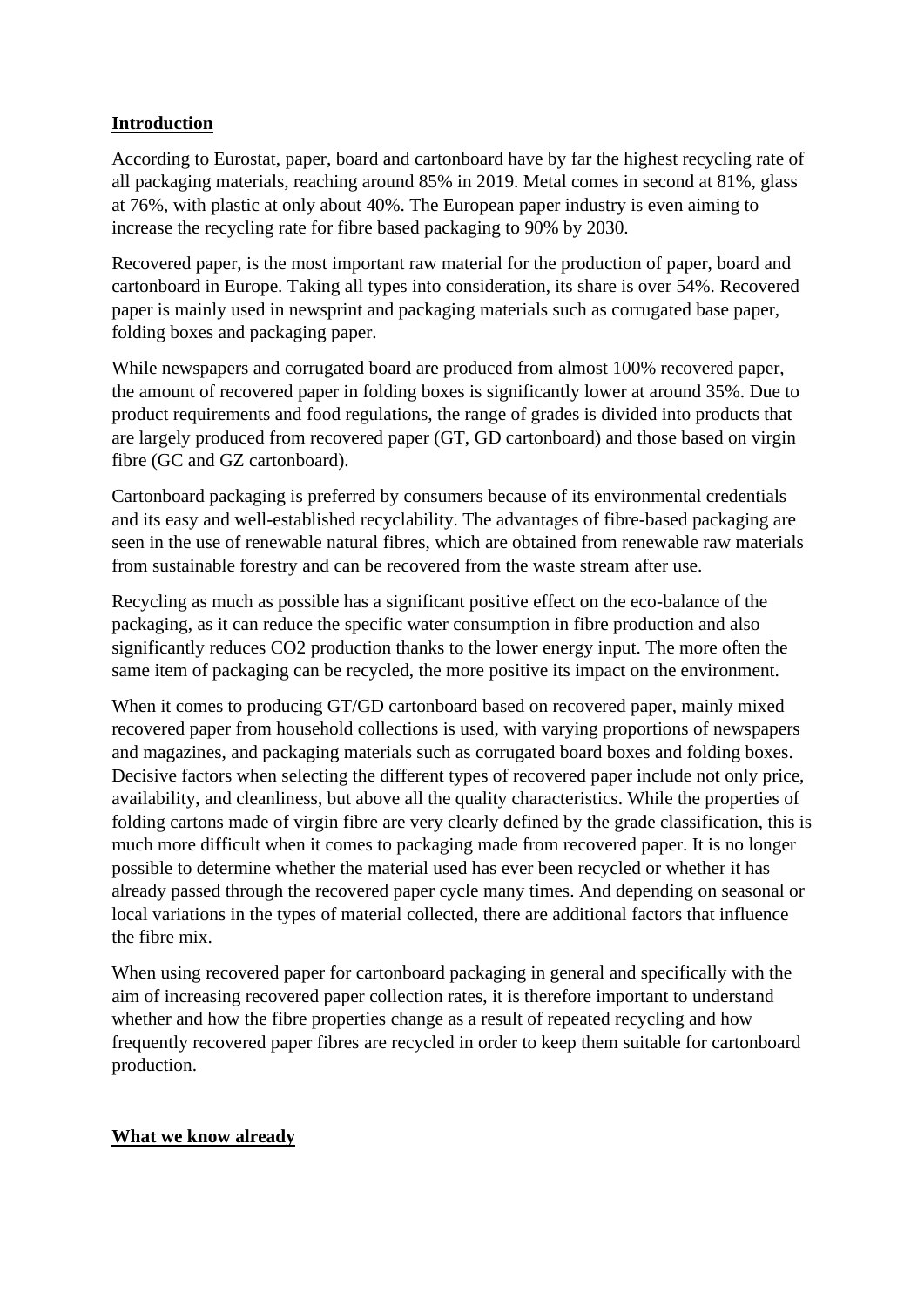## **Introduction**

According to Eurostat, paper, board and cartonboard have by far the highest recycling rate of all packaging materials, reaching around 85% in 2019. Metal comes in second at 81%, glass at 76%, with plastic at only about 40%. The European paper industry is even aiming to increase the recycling rate for fibre based packaging to 90% by 2030.

Recovered paper, is the most important raw material for the production of paper, board and cartonboard in Europe. Taking all types into consideration, its share is over 54%. Recovered paper is mainly used in newsprint and packaging materials such as corrugated base paper, folding boxes and packaging paper.

While newspapers and corrugated board are produced from almost 100% recovered paper, the amount of recovered paper in folding boxes is significantly lower at around 35%. Due to product requirements and food regulations, the range of grades is divided into products that are largely produced from recovered paper (GT, GD cartonboard) and those based on virgin fibre (GC and GZ cartonboard).

Cartonboard packaging is preferred by consumers because of its environmental credentials and its easy and well-established recyclability. The advantages of fibre-based packaging are seen in the use of renewable natural fibres, which are obtained from renewable raw materials from sustainable forestry and can be recovered from the waste stream after use.

Recycling as much as possible has a significant positive effect on the eco-balance of the packaging, as it can reduce the specific water consumption in fibre production and also significantly reduces CO2 production thanks to the lower energy input. The more often the same item of packaging can be recycled, the more positive its impact on the environment.

When it comes to producing GT/GD cartonboard based on recovered paper, mainly mixed recovered paper from household collections is used, with varying proportions of newspapers and magazines, and packaging materials such as corrugated board boxes and folding boxes. Decisive factors when selecting the different types of recovered paper include not only price, availability, and cleanliness, but above all the quality characteristics. While the properties of folding cartons made of virgin fibre are very clearly defined by the grade classification, this is much more difficult when it comes to packaging made from recovered paper. It is no longer possible to determine whether the material used has ever been recycled or whether it has already passed through the recovered paper cycle many times. And depending on seasonal or local variations in the types of material collected, there are additional factors that influence the fibre mix.

When using recovered paper for cartonboard packaging in general and specifically with the aim of increasing recovered paper collection rates, it is therefore important to understand whether and how the fibre properties change as a result of repeated recycling and how frequently recovered paper fibres are recycled in order to keep them suitable for cartonboard production.

## **What we know already**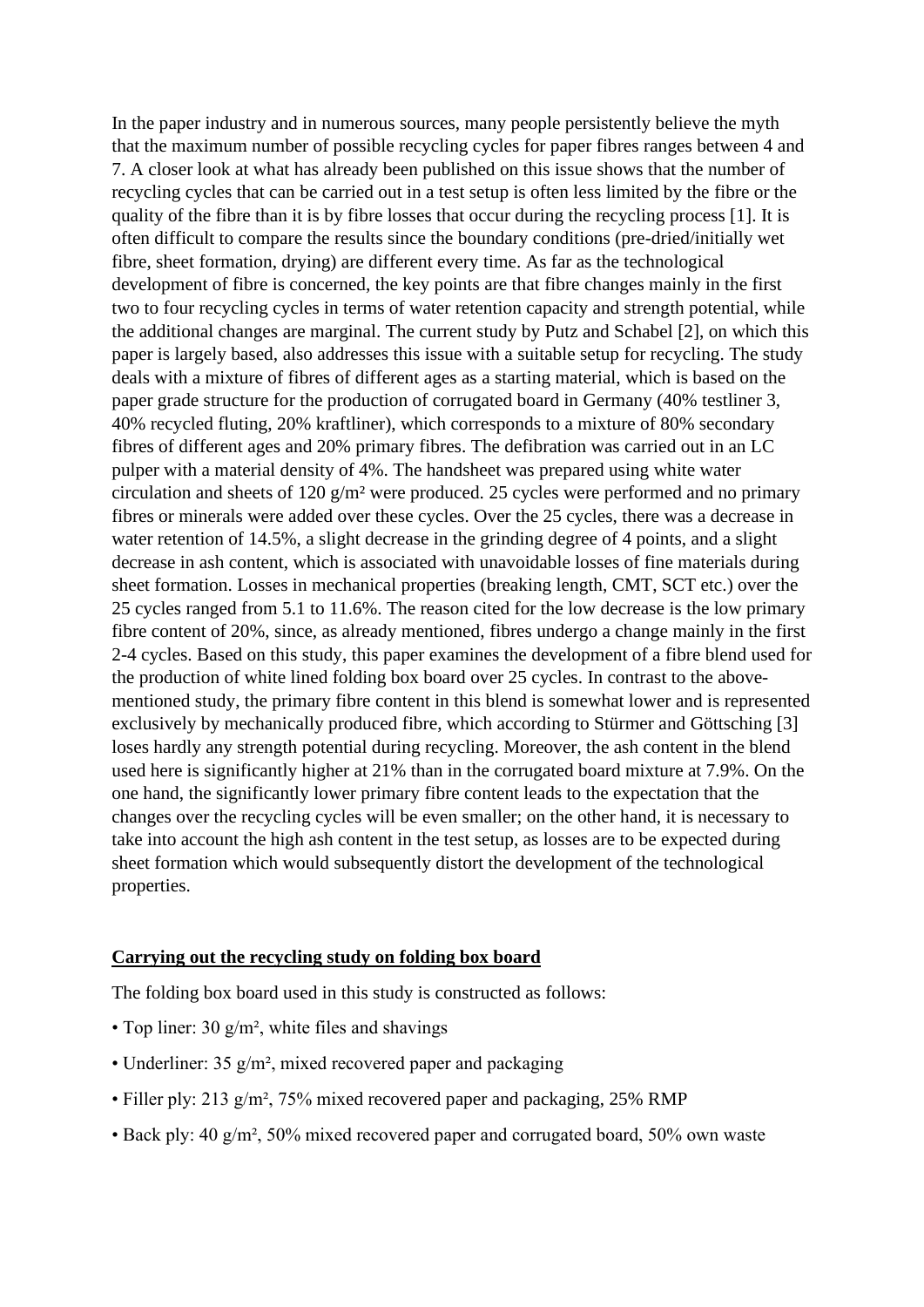In the paper industry and in numerous sources, many people persistently believe the myth that the maximum number of possible recycling cycles for paper fibres ranges between 4 and 7. A closer look at what has already been published on this issue shows that the number of recycling cycles that can be carried out in a test setup is often less limited by the fibre or the quality of the fibre than it is by fibre losses that occur during the recycling process [1]. It is often difficult to compare the results since the boundary conditions (pre-dried/initially wet fibre, sheet formation, drying) are different every time. As far as the technological development of fibre is concerned, the key points are that fibre changes mainly in the first two to four recycling cycles in terms of water retention capacity and strength potential, while the additional changes are marginal. The current study by Putz and Schabel [2], on which this paper is largely based, also addresses this issue with a suitable setup for recycling. The study deals with a mixture of fibres of different ages as a starting material, which is based on the paper grade structure for the production of corrugated board in Germany (40% testliner 3, 40% recycled fluting, 20% kraftliner), which corresponds to a mixture of 80% secondary fibres of different ages and 20% primary fibres. The defibration was carried out in an LC pulper with a material density of 4%. The handsheet was prepared using white water circulation and sheets of 120 g/m² were produced. 25 cycles were performed and no primary fibres or minerals were added over these cycles. Over the 25 cycles, there was a decrease in water retention of 14.5%, a slight decrease in the grinding degree of 4 points, and a slight decrease in ash content, which is associated with unavoidable losses of fine materials during sheet formation. Losses in mechanical properties (breaking length, CMT, SCT etc.) over the 25 cycles ranged from 5.1 to 11.6%. The reason cited for the low decrease is the low primary fibre content of 20%, since, as already mentioned, fibres undergo a change mainly in the first 2-4 cycles. Based on this study, this paper examines the development of a fibre blend used for the production of white lined folding box board over 25 cycles. In contrast to the abovementioned study, the primary fibre content in this blend is somewhat lower and is represented exclusively by mechanically produced fibre, which according to Stürmer and Göttsching [3] loses hardly any strength potential during recycling. Moreover, the ash content in the blend used here is significantly higher at 21% than in the corrugated board mixture at 7.9%. On the one hand, the significantly lower primary fibre content leads to the expectation that the changes over the recycling cycles will be even smaller; on the other hand, it is necessary to take into account the high ash content in the test setup, as losses are to be expected during sheet formation which would subsequently distort the development of the technological properties.

#### **Carrying out the recycling study on folding box board**

The folding box board used in this study is constructed as follows:

- Top liner:  $30 \text{ g/m}^2$ , white files and shavings
- Underliner:  $35 \frac{\text{g}}{\text{m}^2}$ , mixed recovered paper and packaging
- Filler ply: 213 g/m², 75% mixed recovered paper and packaging, 25% RMP
- Back ply: 40 g/m², 50% mixed recovered paper and corrugated board, 50% own waste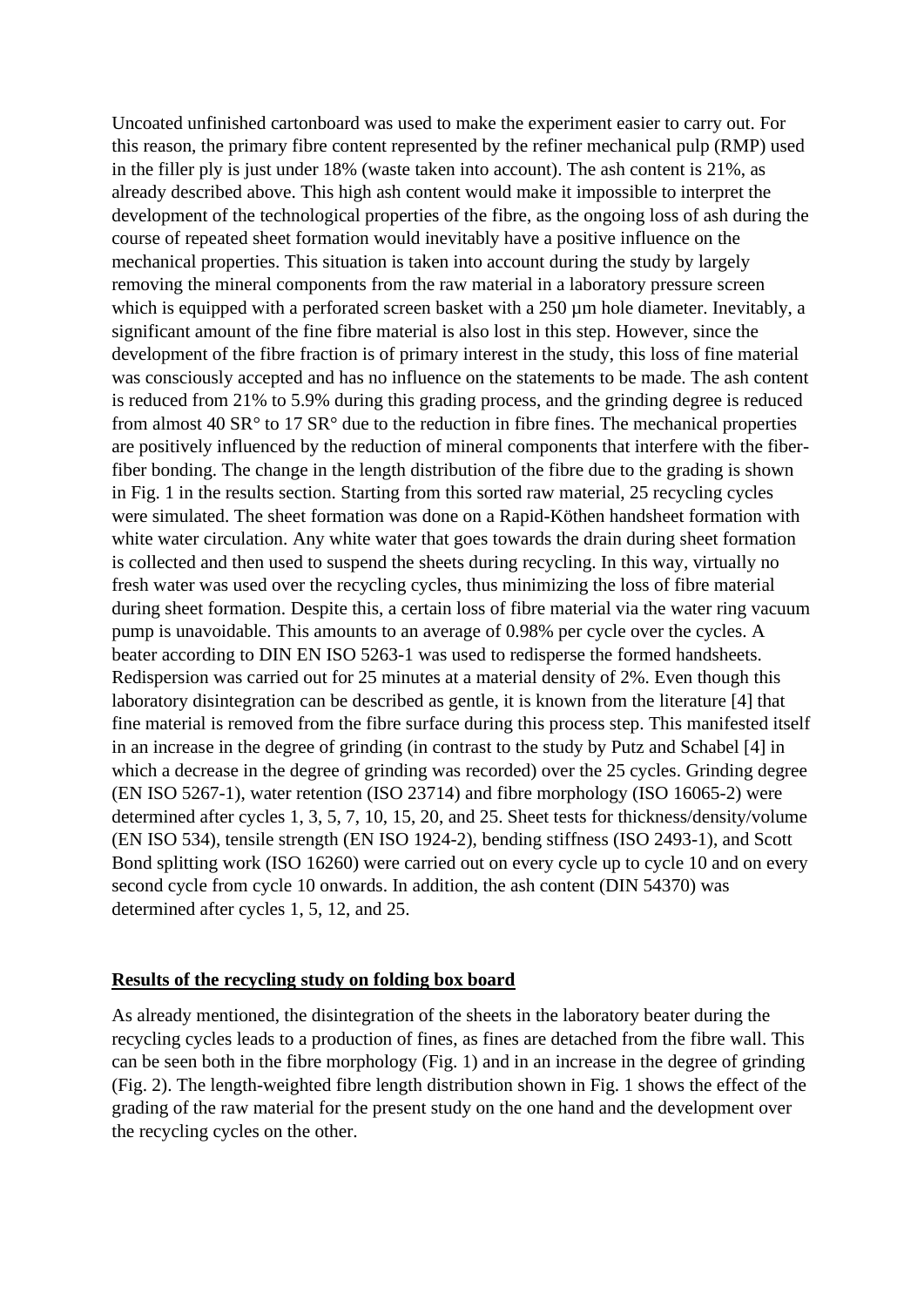Uncoated unfinished cartonboard was used to make the experiment easier to carry out. For this reason, the primary fibre content represented by the refiner mechanical pulp (RMP) used in the filler ply is just under 18% (waste taken into account). The ash content is 21%, as already described above. This high ash content would make it impossible to interpret the development of the technological properties of the fibre, as the ongoing loss of ash during the course of repeated sheet formation would inevitably have a positive influence on the mechanical properties. This situation is taken into account during the study by largely removing the mineral components from the raw material in a laboratory pressure screen which is equipped with a perforated screen basket with a 250 µm hole diameter. Inevitably, a significant amount of the fine fibre material is also lost in this step. However, since the development of the fibre fraction is of primary interest in the study, this loss of fine material was consciously accepted and has no influence on the statements to be made. The ash content is reduced from 21% to 5.9% during this grading process, and the grinding degree is reduced from almost 40  $SR^{\circ}$  to 17  $SR^{\circ}$  due to the reduction in fibre fines. The mechanical properties are positively influenced by the reduction of mineral components that interfere with the fiberfiber bonding. The change in the length distribution of the fibre due to the grading is shown in Fig. 1 in the results section. Starting from this sorted raw material, 25 recycling cycles were simulated. The sheet formation was done on a Rapid-Köthen handsheet formation with white water circulation. Any white water that goes towards the drain during sheet formation is collected and then used to suspend the sheets during recycling. In this way, virtually no fresh water was used over the recycling cycles, thus minimizing the loss of fibre material during sheet formation. Despite this, a certain loss of fibre material via the water ring vacuum pump is unavoidable. This amounts to an average of 0.98% per cycle over the cycles. A beater according to DIN EN ISO 5263-1 was used to redisperse the formed handsheets. Redispersion was carried out for 25 minutes at a material density of 2%. Even though this laboratory disintegration can be described as gentle, it is known from the literature [4] that fine material is removed from the fibre surface during this process step. This manifested itself in an increase in the degree of grinding (in contrast to the study by Putz and Schabel [4] in which a decrease in the degree of grinding was recorded) over the 25 cycles. Grinding degree (EN ISO 5267-1), water retention (ISO 23714) and fibre morphology (ISO 16065-2) were determined after cycles 1, 3, 5, 7, 10, 15, 20, and 25. Sheet tests for thickness/density/volume (EN ISO 534), tensile strength (EN ISO 1924-2), bending stiffness (ISO 2493-1), and Scott Bond splitting work (ISO 16260) were carried out on every cycle up to cycle 10 and on every second cycle from cycle 10 onwards. In addition, the ash content (DIN 54370) was determined after cycles 1, 5, 12, and 25.

#### **Results of the recycling study on folding box board**

As already mentioned, the disintegration of the sheets in the laboratory beater during the recycling cycles leads to a production of fines, as fines are detached from the fibre wall. This can be seen both in the fibre morphology (Fig. 1) and in an increase in the degree of grinding (Fig. 2). The length-weighted fibre length distribution shown in Fig. 1 shows the effect of the grading of the raw material for the present study on the one hand and the development over the recycling cycles on the other.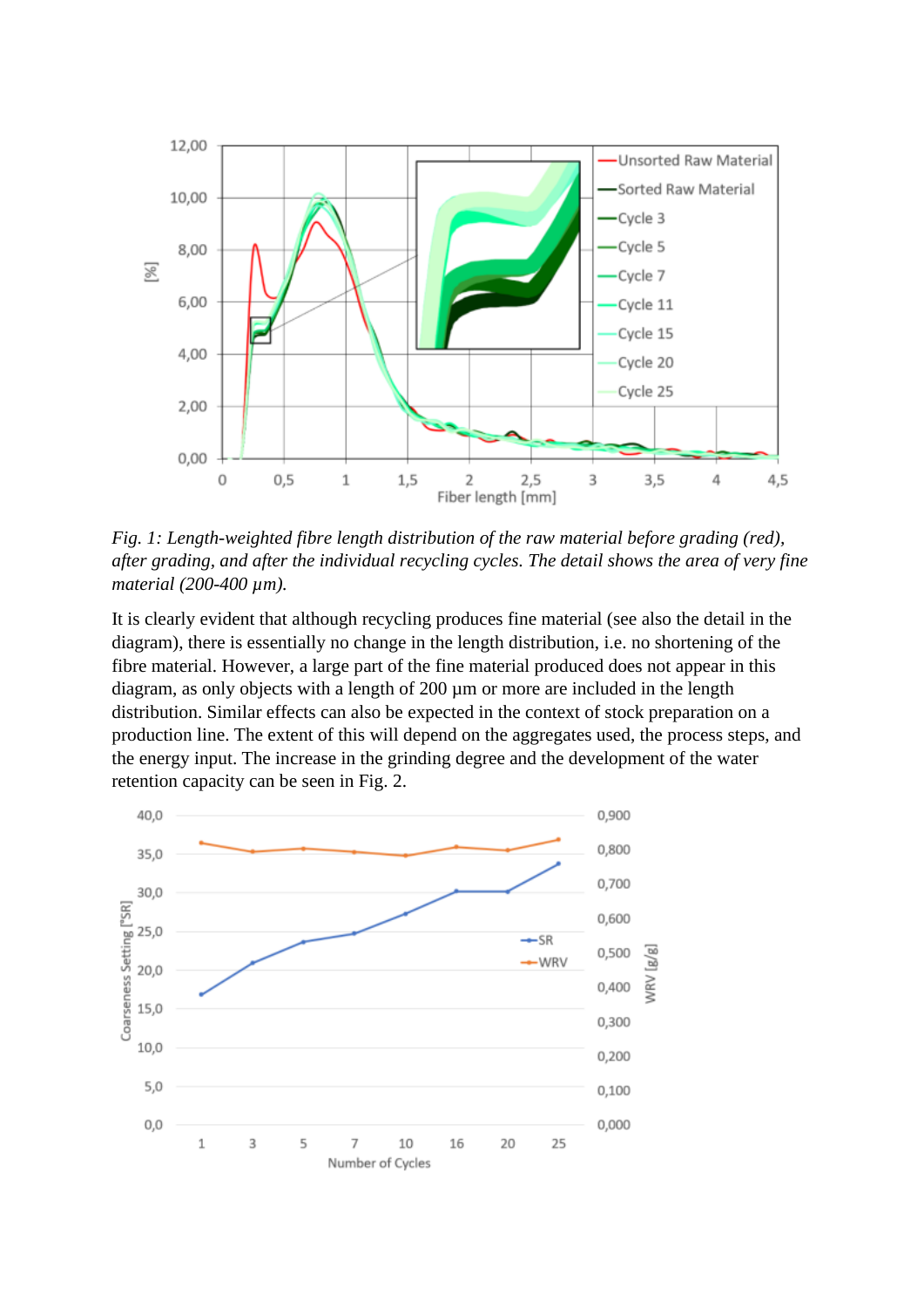

*Fig. 1: Length-weighted fibre length distribution of the raw material before grading (red), after grading, and after the individual recycling cycles. The detail shows the area of very fine material (200-400 µm).* 

It is clearly evident that although recycling produces fine material (see also the detail in the diagram), there is essentially no change in the length distribution, i.e. no shortening of the fibre material. However, a large part of the fine material produced does not appear in this diagram, as only objects with a length of 200 µm or more are included in the length distribution. Similar effects can also be expected in the context of stock preparation on a production line. The extent of this will depend on the aggregates used, the process steps, and the energy input. The increase in the grinding degree and the development of the water retention capacity can be seen in Fig. 2.

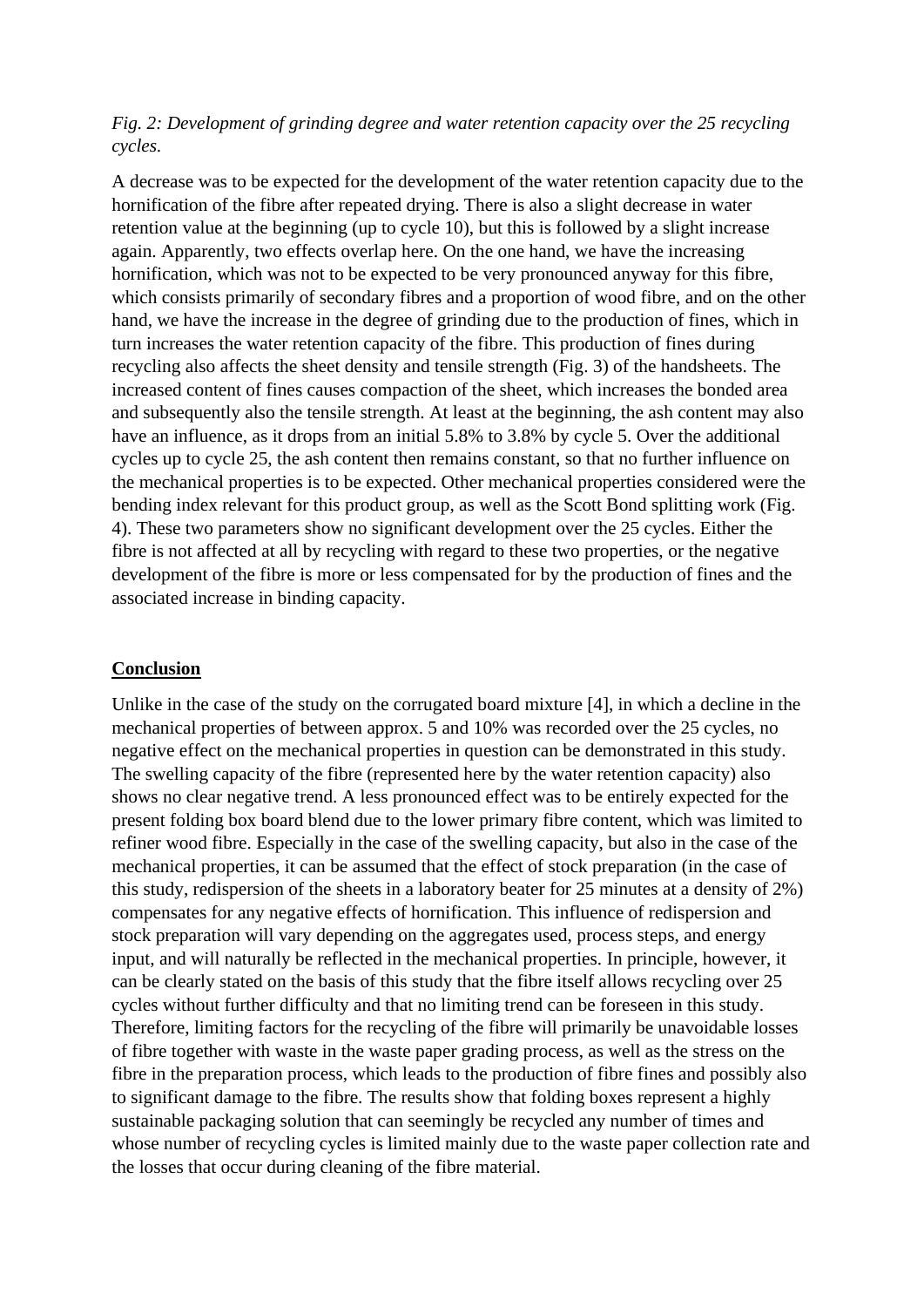## *Fig. 2: Development of grinding degree and water retention capacity over the 25 recycling cycles.*

A decrease was to be expected for the development of the water retention capacity due to the hornification of the fibre after repeated drying. There is also a slight decrease in water retention value at the beginning (up to cycle 10), but this is followed by a slight increase again. Apparently, two effects overlap here. On the one hand, we have the increasing hornification, which was not to be expected to be very pronounced anyway for this fibre, which consists primarily of secondary fibres and a proportion of wood fibre, and on the other hand, we have the increase in the degree of grinding due to the production of fines, which in turn increases the water retention capacity of the fibre. This production of fines during recycling also affects the sheet density and tensile strength (Fig. 3) of the handsheets. The increased content of fines causes compaction of the sheet, which increases the bonded area and subsequently also the tensile strength. At least at the beginning, the ash content may also have an influence, as it drops from an initial 5.8% to 3.8% by cycle 5. Over the additional cycles up to cycle 25, the ash content then remains constant, so that no further influence on the mechanical properties is to be expected. Other mechanical properties considered were the bending index relevant for this product group, as well as the Scott Bond splitting work (Fig. 4). These two parameters show no significant development over the 25 cycles. Either the fibre is not affected at all by recycling with regard to these two properties, or the negative development of the fibre is more or less compensated for by the production of fines and the associated increase in binding capacity.

## **Conclusion**

Unlike in the case of the study on the corrugated board mixture [4], in which a decline in the mechanical properties of between approx. 5 and 10% was recorded over the 25 cycles, no negative effect on the mechanical properties in question can be demonstrated in this study. The swelling capacity of the fibre (represented here by the water retention capacity) also shows no clear negative trend. A less pronounced effect was to be entirely expected for the present folding box board blend due to the lower primary fibre content, which was limited to refiner wood fibre. Especially in the case of the swelling capacity, but also in the case of the mechanical properties, it can be assumed that the effect of stock preparation (in the case of this study, redispersion of the sheets in a laboratory beater for 25 minutes at a density of 2%) compensates for any negative effects of hornification. This influence of redispersion and stock preparation will vary depending on the aggregates used, process steps, and energy input, and will naturally be reflected in the mechanical properties. In principle, however, it can be clearly stated on the basis of this study that the fibre itself allows recycling over 25 cycles without further difficulty and that no limiting trend can be foreseen in this study. Therefore, limiting factors for the recycling of the fibre will primarily be unavoidable losses of fibre together with waste in the waste paper grading process, as well as the stress on the fibre in the preparation process, which leads to the production of fibre fines and possibly also to significant damage to the fibre. The results show that folding boxes represent a highly sustainable packaging solution that can seemingly be recycled any number of times and whose number of recycling cycles is limited mainly due to the waste paper collection rate and the losses that occur during cleaning of the fibre material.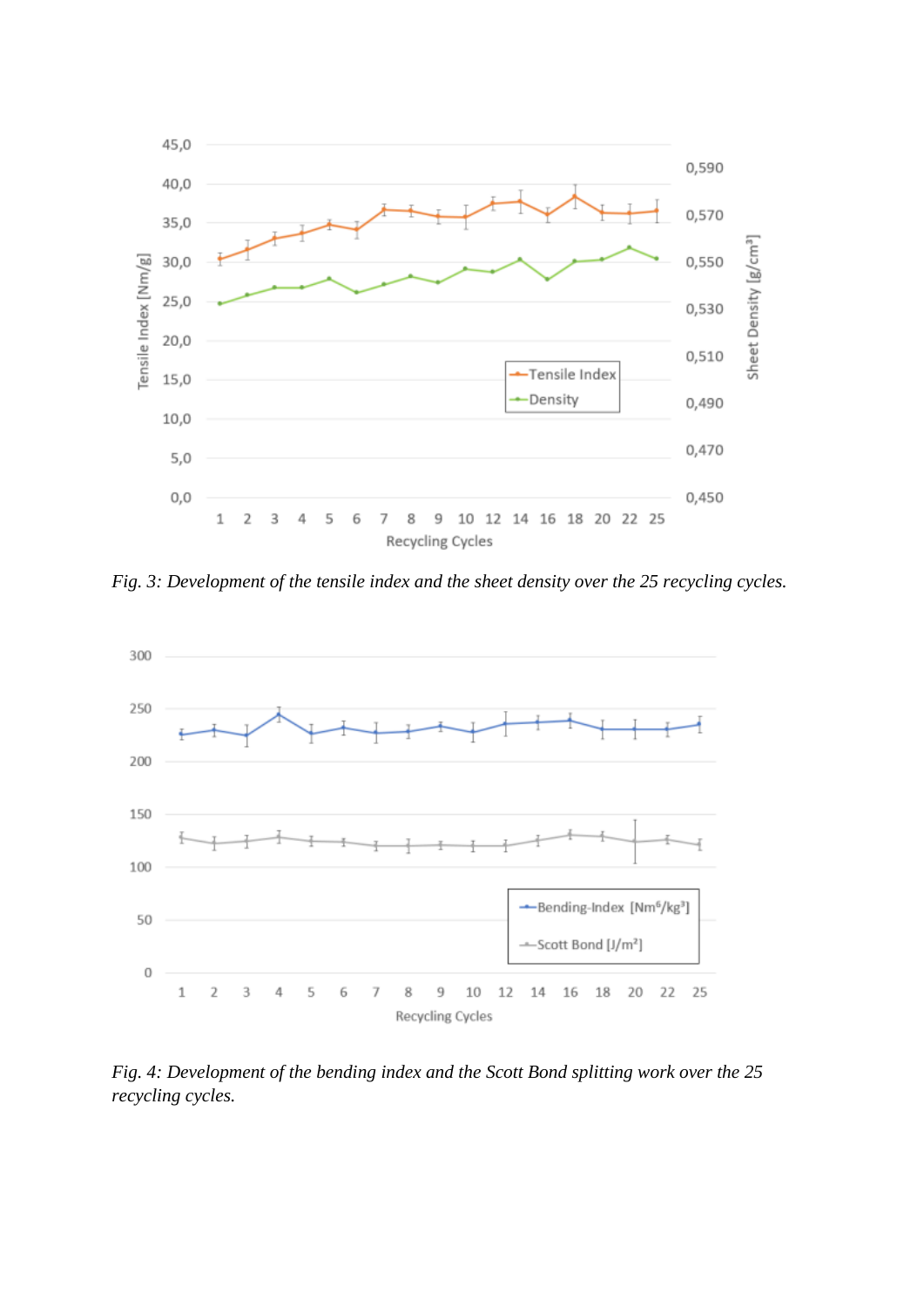

*Fig. 3: Development of the tensile index and the sheet density over the 25 recycling cycles.*



*Fig. 4: Development of the bending index and the Scott Bond splitting work over the 25 recycling cycles.*